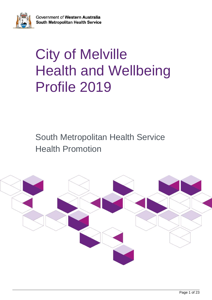

# City of Melville Health and Wellbeing Profile 2019

South Metropolitan Health Service Health Promotion

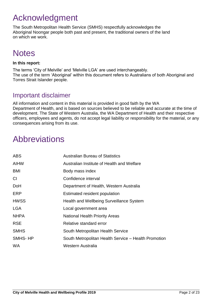# <span id="page-1-0"></span>Acknowledgment

The South Metropolitan Health Service (SMHS) respectfully acknowledges the Aboriginal Noongar people both past and present, the traditional owners of the land on which we work.

# **Notes**

### **In this report:**

The terms 'City of Melville' and 'Melville LGA' are used interchangeably. The use of the term 'Aboriginal' within this document refers to Australians of both Aboriginal and Torres Strait Islander people.

# Important disclaimer

All information and content in this material is provided in good faith by the WA Department of Health, and is based on sources believed to be reliable and accurate at the time of development. The State of Western Australia, the WA Department of Health and their respective officers, employees and agents, do not accept legal liability or responsibility for the material, or any consequences arising from its use.

# <span id="page-1-1"></span>Abbreviations

| <b>ABS</b>  | <b>Australian Bureau of Statistics</b>               |
|-------------|------------------------------------------------------|
| <b>AIHW</b> | Australian Institute of Health and Welfare           |
| BMI         | Body mass index                                      |
| CI          | Confidence interval                                  |
| DoH         | Department of Health, Western Australia              |
| ERP         | Estimated resident population                        |
| <b>HWSS</b> | Health and Wellbeing Surveillance System             |
| LGA         | Local government area                                |
| <b>NHPA</b> | <b>National Health Priority Areas</b>                |
| <b>RSE</b>  | Relative standard error                              |
| <b>SMHS</b> | South Metropolitan Health Service                    |
| SMHS-HP     | South Metropolitan Health Service - Health Promotion |
| <b>WA</b>   | <b>Western Australia</b>                             |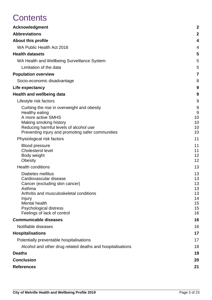# **Contents**

| <b>Acknowledgment</b>                                            | $\boldsymbol{2}$ |
|------------------------------------------------------------------|------------------|
| <b>Abbreviations</b>                                             | $\mathbf 2$      |
| <b>About this profile</b>                                        | 4                |
| WA Public Health Act 2016                                        | 4                |
| <b>Health datasets</b>                                           | 5                |
| WA Health and Wellbeing Surveillance System                      | 5                |
| Limitation of the data                                           | 5                |
| <b>Population overview</b>                                       | $\overline{7}$   |
| Socio-economic disadvantage                                      | 8                |
| Life expectancy                                                  | 9                |
| <b>Health and wellbeing data</b>                                 | 9                |
| Lifestyle risk factors                                           | 9                |
| Curbing the rise in overweight and obesity                       | 9                |
| Healthy eating                                                   | 9                |
| A more active SMHS                                               | 10               |
| Making smoking history<br>Reducing harmful levels of alcohol use | 10<br>10         |
| Preventing injury and promoting safer communities                | 10               |
| Physiological risk factors                                       | 11               |
| <b>Blood pressure</b>                                            | 11               |
| <b>Cholesterol level</b>                                         | 11               |
| Body weight                                                      | 12<br>12         |
| <b>Obesity</b><br><b>Health conditions</b>                       | 13               |
|                                                                  |                  |
| Diabetes mellitus<br>Cardiovascular disease                      | 13<br>13         |
| Cancer (excluding skin cancer)                                   | 13               |
| Asthma                                                           | 13               |
| Arthritis and musculoskeletal conditions                         | 13               |
| <b>Injury</b><br>Mental health                                   | 14<br>15         |
| <b>Psychological distress</b>                                    | 15               |
| Feelings of lack of control                                      | 16               |
| <b>Communicable diseases</b>                                     | 16               |
| Notifiable diseases                                              | 16               |
| <b>Hospitalisations</b>                                          | 17               |
| Potentially preventable hospitalisations                         | 17               |
| Alcohol and other drug related deaths and hospitalisations       | 18               |
| <b>Deaths</b>                                                    | 19               |
| <b>Conclusion</b>                                                | 20               |
| <b>References</b>                                                | 21               |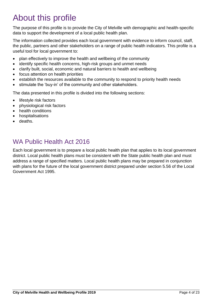# <span id="page-3-0"></span>About this profile

The purpose of this profile is to provide the City of Melville with demographic and health-specific data to support the development of a local public health plan.

The information collected provides each local government with evidence to inform council, staff, the public, partners and other stakeholders on a range of public health indicators. This profile is a useful tool for local government to:

- plan effectively to improve the health and wellbeing of the community
- identify specific health concerns, high-risk groups and unmet needs
- clarify built, social, economic and natural barriers to health and wellbeing
- focus attention on health priorities
- establish the resources available to the community to respond to priority health needs
- stimulate the 'buy-in' of the community and other stakeholders.

The data presented in this profile is divided into the following sections:

- lifestyle risk factors
- physiological risk factors
- health conditions
- hospitalisations
- deaths.

# <span id="page-3-1"></span>WA Public Health Act 2016

Each local government is to prepare a local public health plan that applies to its local government district. Local public health plans must be consistent with the State public health plan and must address a range of specified matters. Local public health plans may be prepared in conjunction with plans for the future of the local government district prepared under section 5.56 of the Local Government Act 1995.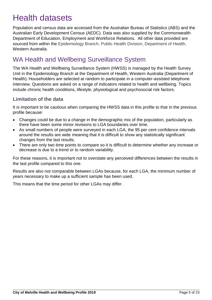# <span id="page-4-0"></span>Health datasets

Population and census data are accessed from the Australian Bureau of Statistics (ABS) and the Australian Early Development Census (AEDC). Data was also supplied by the Commonwealth Department of Education, Employment and Workforce Relations. All other data provided are sourced from within the Epidemiology Branch, Public Health Division, Department of Health, Western Australia.

# <span id="page-4-1"></span>WA Health and Wellbeing Surveillance System

The WA Health and Wellbeing Surveillance System (HWSS) is managed by the Health Survey Unit in the Epidemiology Branch at the Department of Health, Western Australia (Department of Health). Householders are selected at random to participate in a computer-assisted telephone interview. Questions are asked on a range of indicators related to health and wellbeing. Topics include chronic health conditions, lifestyle, physiological and psychosocial risk factors.

### <span id="page-4-2"></span>**Limitation of the data**

It is important to be cautious when comparing the HWSS data in this profile to that in the previous profile because:

- Changes could be due to a change in the demographic mix of the population, particularly as there have been some minor revisions to LGA boundaries over time.
- As small numbers of people were surveyed in each LGA, the 95 per cent confidence intervals around the results are wide meaning that it is difficult to show any statistically significant changes from the last results.
- There are only two time points to compare so it is difficult to determine whether any increase or decrease is due to a trend or to random variability.

For these reasons, it is important not to overstate any perceived differences between the results in the last profile compared to this one.

Results are also not comparable between LGAs because, for each LGA, the minimum number of years necessary to make up a sufficient sample has been used.

This means that the time period for other LGAs may differ.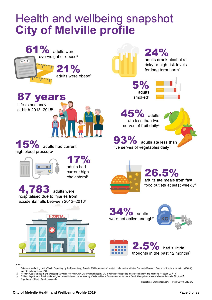# **Health and wellbeing snapshot City of Melville profile**



**87 years** Life expectancy at birth 2013-2015<sup>2</sup>



15% adults had current high blood pressure<sup>2</sup>



 $7%$ adults had current high  $cholesterol<sup>2</sup>$ 

4,783 adults were hospitalised due to injuries from accidental falls between 2012-2016<sup>1</sup>



 $24%$ adults drank alcohol at risky or high risk levels for long term harm<sup>2</sup>

 $5%$ adults  $smoked<sup>2</sup>$ 



45% adults ate less than two serves of fruit daily<sup>2</sup>

 $93\%$  adults ate less than five serves of vegetables daily<sup>2</sup>



26.5% adults ate meals from fast food outlets at least weekly<sup>2</sup>

**34%** adults were not active enough<sup>2</sup>





Source

- $\mathbf{1}$ Data generated using Health Tracks Reporting, by the Epidemiology Branch, WA Department of Health in collaboration with the Corporate Research Centre for Spacial Information (CRC-SI). Injury by external cause. 2018
- Western Australian Health and Wellbeing Surveillance System, WA Department of Health: City of Melville self-reported measures of health and wellbeing for adults 2015-16 Epidemiology Branch, Public and Aboriginal Health Division. Life expectancy of selected Local Government Authorities in South Metropolitan areas of Western Australia, 2013-2015. Department of Health, Western Australia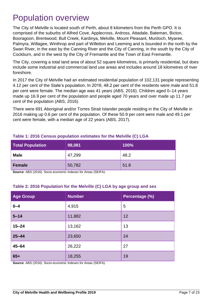# <span id="page-6-0"></span>Population overview

The City of Melville is located south of Perth, about 8 kilometers from the Perth GPO. It is comprised of the suburbs of Alfred Cove, Applecross, Ardross, Attadale, Bateman, Bicton, Booragoon, Brentwood, Bull Creek, Kardinya, Melville, Mount Pleasant, Murdoch, Myaree, Palmyra, Willagee, Winthrop and part of Willetton and Leeming and is bounded in the north by the Swan River, in the east by the Canning River and the City of Canning, in the south by the City of Cockburn, and in the west by the City of Fremantle and the Town of East Fremantle.

The City, covering a total land area of about 52 square kilometres, is primarily residential, but does include some industrial and commercial land use areas and includes around 18 kilometres of river foreshore.

In 2017 the City of Melville had an estimated residential population of 102,131 people representing 4.12 per cent of the State's population. In 2016, 48.2 per cent of the residents were male and 51.8 per cent were female. The median age was 41 years (ABS, 2016). Children aged 0–14 years made up 16.9 per cent of the population and people aged 70 years and over made up 11.7 per cent of the population (ABS, 2016).

There were 691 Aboriginal and/or Torres Strait Islander people residing in the City of Melville in 2016 making up 0.6 per cent of the population. Of these 50.9 per cent were male and 49.1 per cent were female, with a median age of 22 years (ABS, 2017).

| <b>Total Population</b> | 98,081 | 100% |
|-------------------------|--------|------|
| <b>Male</b>             | 47,299 | 48.2 |
| Female                  | 50,782 | 51.8 |

#### **Table 1: 2016 Census population estimates for the Melville (C) LGA**

**Source**: ABS (2016). Socio-economic Indexes for Areas (SEIFA).

#### **Table 2: 2016 Population for the Melville (C) LGA by age group and sex**

| <b>Age Group</b> | <b>Number</b> | Percentage (%) |
|------------------|---------------|----------------|
| $0 - 4$          | 4,915         | 5              |
| $5 - 14$         | 11,882        | 12             |
| $15 - 24$        | 13,162        | 13             |
| $25 - 44$        | 23,650        | 24             |
| $45 - 64$        | 26,222        | 27             |
| $65+$            | 18,255        | 19             |

**Source**: ABS (2016). Socio-economic Indexes for Areas (SEIFA).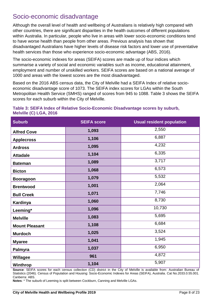# <span id="page-7-0"></span>Socio-economic disadvantage

Although the overall level of health and wellbeing of Australians is relatively high compared with other countries, there are significant disparities in the health outcomes of different populations within Australia. In particular, people who live in areas with lower socio-economic conditions tend to have worse health than people from other areas. Previous analysis has shown that disadvantaged Australians have higher levels of disease risk factors and lower use of preventative health services than those who experience socio-economic advantage (ABS, 2016).

The socio-economic indexes for areas (SEIFA) scores are made up of four indices which summarise a variety of social and economic variables such as income, educational attainment, employment and number of unskilled workers. SEIFA scores are based on a national average of 1000 and areas with the lowest scores are the most disadvantaged.

Based on the 2016 ABS census data, the City of Melville had a SEIFA Index of relative socioeconomic disadvantage score of 1073. The SEIFA index scores for LGAs within the South Metropolitan Health Service (SMHS) ranged of scores from 945 to 1088. Table 3 shows the SEIFA scores for each suburb within the City of Melville.

| <b>Suburb</b>         | <b>SEIFA score</b> | <b>Usual resident population</b> |
|-----------------------|--------------------|----------------------------------|
| <b>Alfred Cove</b>    | 1,093              | 2,550                            |
| <b>Applecross</b>     | 1,106              | 6,887                            |
| <b>Ardross</b>        | 1,095              | 4,232                            |
| <b>Attadale</b>       | 1,104              | 6,335                            |
| <b>Bateman</b>        | 1,089              | 3,717                            |
| <b>Bicton</b>         | 1,068              | 6,573                            |
| <b>Booragoon</b>      | 1,079              | 5,532                            |
| <b>Brentwood</b>      | 1,001              | 2,064                            |
| <b>Bull Creek</b>     | 1,071              | 7,746                            |
| Kardinya              | 1,060              | 8,730                            |
| Leeming*              | 1,096              | 10,730                           |
| <b>Melville</b>       | 1,083              | 5,695                            |
| <b>Mount Pleasant</b> | 1,108              | 6,684                            |
| <b>Murdoch</b>        | 1,025              | 3,524                            |
| <b>Myaree</b>         | 1,041              | 1,945                            |
| Palmyra               | 1,037              | 6,950                            |
| Willagee              | 961                | 4,872                            |
| Winthrop              | 1,104              | 5,907                            |

### **Table 3: SEIFA Index of Relative Socio-Economic Disadvantage scores by suburb, Melville (C) LGA, 2016**

**Source**: SEIFA scores for each census collection (CD) district in the City of Melville is available from: Australian Bureau of Statistics (2046). Census of Population and Housing: Socio-Economic Indexes for Areas (SEIFA), Australia. Cat No.2033.0.55.001. Canberra: ABS.

**Notes**: \* The suburb of Leeming is split between Cockburn, Canning and Melville LGAs.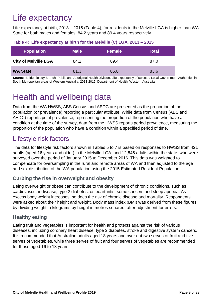# <span id="page-8-0"></span>Life expectancy

Life expectancy at birth, 2013 – 2015 (Table 4), for residents in the Melville LGA is higher than WA State for both males and females, 84.2 years and 89.4 years respectively.

| <b>Population</b>           | <b>Male</b> | <b>Female</b> | Total |
|-----------------------------|-------------|---------------|-------|
| <b>City of Melville LGA</b> | 84.2        | 89.4          | 87.0  |
| <b>WA State</b>             | 81.3        | 85.8          | 83.6  |

### **Table 4: Life expectancy at birth for the Melville (C) LGA, 2013 – 2015**

**Source**: Epidemiology Branch, Public and Aboriginal Health Division. Life expectancy of selected Local Government Authorities in South Metropolitan areas of Western Australia, 2013-2015. Department of Health, Western Australia

# <span id="page-8-1"></span>Health and wellbeing data

Data from the WA HWSS, ABS Census and AEDC are presented as the proportion of the population (or prevalence) reporting a particular attribute. While data from Census (ABS and AEDC) reports point prevalence, representing the proportion of the population who have a condition at the time of the survey, data from the HWSS reports period prevalence, measuring the proportion of the population who have a condition within a specified period of time.

# <span id="page-8-2"></span>Lifestyle risk factors

The data for lifestyle risk factors shown in Tables 5 to 7 is based on responses to HWSS from 421 adults (aged 16 years and older) in the Melville LGA, and 12,845 adults within the state, who were surveyed over the period of January 2015 to December 2016. This data was weighted to compensate for oversampling in the rural and remote areas of WA and then adjusted to the age and sex distribution of the WA population using the 2015 Estimated Resident Population.

# <span id="page-8-3"></span>**Curbing the rise in overweight and obesity**

Being overweight or obese can contribute to the development of chronic conditions, such as cardiovascular disease, type 2 diabetes, osteoarthritis, some cancers and sleep apnoea. As excess body weight increases, so does the risk of chronic disease and mortality. Respondents were asked about their height and weight. Body mass index (BMI) was derived from these figures by dividing weight in kilograms by height in metres squared, after adjustment for errors.

# <span id="page-8-4"></span>**Healthy eating**

Eating fruit and vegetables is important for health and protects against the risk of various diseases, including coronary heart disease, type 2 diabetes, stroke and digestive system cancers. It is recommended that Australian adults aged 18 years and over eat two serves of fruit and five serves of vegetables, while three serves of fruit and four serves of vegetables are recommended for those aged 16 to 18 years.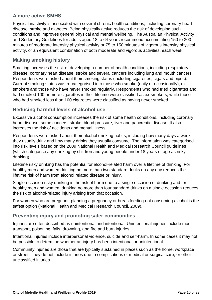# <span id="page-9-0"></span>**A more active SMHS**

Physical inactivity is associated with several chronic health conditions, including coronary heart disease, stroke and diabetes. Being physically active reduces the risk of developing such conditions and improves general physical and mental wellbeing. The Australian Physical Activity and Sedentary Guidelines for adults aged 18 to 64 years recommend accumulating 150 to 300 minutes of moderate intensity physical activity or 75 to 150 minutes of vigorous intensity physical activity, or an equivalent combination of both moderate and vigorous activities, each week.

## <span id="page-9-1"></span>**Making smoking history**

Smoking increases the risk of developing a number of health conditions, including respiratory disease, coronary heart disease, stroke and several cancers including lung and mouth cancers. Respondents were asked about their smoking status (including cigarettes, cigars and pipes). Current smoking status was re-categorised into those who smoke (daily or occasionally), exsmokers and those who have never smoked regularly. Respondents who had tried cigarettes and had smoked 100 or more cigarettes in their lifetime were classified as ex-smokers, while those who had smoked less than 100 cigarettes were classified as having never smoked.

## <span id="page-9-2"></span>**Reducing harmful levels of alcohol use**

Excessive alcohol consumption increases the risk of some health conditions, including coronary heart disease, some cancers, stroke, blood pressure, liver and pancreatic disease. It also increases the risk of accidents and mental illness.

Respondents were asked about their alcohol drinking habits, including how many days a week they usually drink and how many drinks they usually consume. The information was categorised into risk levels based on the 2009 National Health and Medical Research Council guidelines (which categorise any drinking by children and young people under 18 years of age as risky drinking).

Lifetime risky drinking has the potential for alcohol-related harm over a lifetime of drinking. For healthy men and women drinking no more than two standard drinks on any day reduces the lifetime risk of harm from alcohol related disease or injury.

Single-occasion risky drinking is the risk of harm due to a single occasion of drinking and for healthy men and women, drinking no more than four standard drinks on a single occasion reduces the risk of alcohol-related injury arising from that occasion.

For women who are pregnant, planning a pregnancy or breastfeeding not consuming alcohol is the safest option (National Health and Medical Research Council, 2009).

### <span id="page-9-3"></span>**Preventing injury and promoting safer communities**

Injuries are often described as unintentional and intentional. Unintentional injuries include most transport, poisoning, falls, drowning, and fire and burn injuries.

Intentional injuries include interpersonal violence, suicide and self-harm. In some cases it may not be possible to determine whether an injury has been intentional or unintentional.

Community injuries are those that are typically sustained in places such as the home, workplace or street. They do not include injuries due to complications of medical or surgical care, or other unclassified injuries.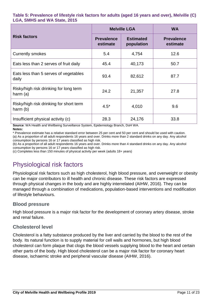#### **Table 5: Prevalence of lifestyle risk factors for adults (aged 16 years and over), Melville (C) LGA, SMHS and WA State, 2015**

|                                                       |                               | <b>Melville LGA</b>            | <b>WA</b>                     |  |
|-------------------------------------------------------|-------------------------------|--------------------------------|-------------------------------|--|
| <b>Risk factors</b>                                   | <b>Prevalence</b><br>estimate | <b>Estimated</b><br>population | <b>Prevalence</b><br>estimate |  |
| <b>Currently smokes</b>                               | 5.4                           | 4,754                          | 12.6                          |  |
| Eats less than 2 serves of fruit daily                | 45.4                          | 40,173                         | 50.7                          |  |
| Eats less than 5 serves of vegetables<br>daily        | 93.4                          | 82,612                         | 87.7                          |  |
| Risky/high risk drinking for long term<br>harm $(a)$  | 24.2                          | 21,357                         | 27.8                          |  |
| Risky/high risk drinking for short term<br>harm $(b)$ | $4.5*$                        | 4,010                          | 9.6                           |  |
| Insufficient physical activity (c)                    | 28.3                          | 24,176                         | 33.8                          |  |

**Source**: WA Health and Wellbeing Surveillance System, Epidemiology Branch, DoH WA. **Notes:**

\* Prevalence estimate has a relative standard error between 25 per cent and 50 per cent and should be used with caution. (a) As a proportion of all adult respondents 16 years and over. Drinks more than 2 standard drinks on any day. Any alcohol consumption by persons 16 or 17 years classified as high risk.

(b) As a proportion of all adult respondents 16 years and over. Drinks more than 4 standard drinks on any day. Any alcohol consumption by persons 16 or 17 years classified as high risk.

(c) Completes less than 150 minutes of physical activity per week (adults 18+ years)

# <span id="page-10-0"></span>Physiological risk factors

Physiological risk factors such as high cholesterol, high blood pressure, and overweight or obesity can be major contributors to ill health and chronic disease. These risk factors are expressed through physical changes in the body and are highly interrelated (AIHW, 2016). They can be managed through a combination of medications, population-based interventions and modification of lifestyle behaviours.

### <span id="page-10-1"></span>**Blood pressure**

High blood pressure is a major risk factor for the development of coronary artery disease, stroke and renal failure.

### <span id="page-10-2"></span>**Cholesterol level**

Cholesterol is a fatty substance produced by the liver and carried by the blood to the rest of the body. Its natural function is to supply material for cell walls and hormones, but high blood cholesterol can form plaque that clogs the blood vessels supplying blood to the heart and certain other parts of the body. High blood cholesterol can be a major risk factor for coronary heart disease, ischaemic stroke and peripheral vascular disease (AIHW, 2016).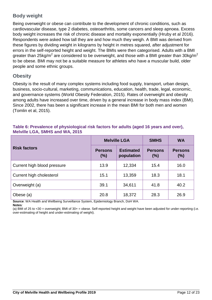# <span id="page-11-0"></span>**Body weight**

Being overweight or obese can contribute to the development of chronic conditions, such as cardiovascular disease, type 2 diabetes, osteoarthritis, some cancers and sleep apnoea. Excess body weight increases the risk of chronic disease and mortality exponentially (Hruby et al 2016). Respondents were asked how tall they are and how much they weigh. A BMI was derived from these figures by dividing weight in kilograms by height in metres squared, after adjustment for errors in the self-reported height and weight. The BMIs were then categorised. Adults with a BMI greater than 25kg/m<sup>2</sup> are considered to be overweight, and those with a BMI greater than 30kg/m<sup>2</sup> to be obese. BMI may not be a suitable measure for athletes who have a muscular build, older people and some ethnic groups.

## <span id="page-11-1"></span>**Obesity**

Obesity is the result of many complex systems including food supply, transport, urban design, business, socio-cultural, marketing, communications, education, health, trade, legal, economic, and governance systems (World Obesity Federation, 2015). Rates of overweight and obesity among adults have increased over time, driven by a general increase in body mass index (BMI). Since 2002, there has been a significant increase in the mean BMI for both men and women (Tomlin et al, 2015).

| Table 6: Prevalence of physiological risk factors for adults (aged 16 years and over), |  |  |
|----------------------------------------------------------------------------------------|--|--|
| <b>Melville LGA, SMHS and WA, 2015</b>                                                 |  |  |

|                             |                       | <b>Melville LGA</b>            | <b>SMHS</b>           | <b>WA</b>                |
|-----------------------------|-----------------------|--------------------------------|-----------------------|--------------------------|
| <b>Risk factors</b>         | <b>Persons</b><br>(%) | <b>Estimated</b><br>population | <b>Persons</b><br>(%) | <b>Persons</b><br>$(\%)$ |
| Current high blood pressure | 13.9                  | 12,334                         | 15.4                  | 16.0                     |
| Current high cholesterol    | 15.1                  | 13,359                         | 18.3                  | 18.1                     |
| Overweight (a)              | 39.1                  | 34,611                         | 41.8                  | 40.2                     |
| Obese (a)                   | 20.8                  | 18,372                         | 28.3                  | 26.9                     |

**Source**: WA Health and Wellbeing Surveillance System, Epidemiology Branch, DoH WA.

**Notes***:* 

(a) BMI of 25 to <30 = overweight; BMI of 30+ = obese. Self-reported height and weight have been adjusted for under-reporting (i.e. over-estimating of height and under-estimating of weight).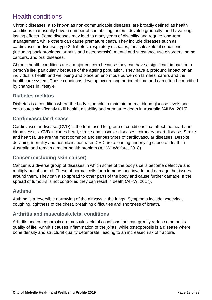# <span id="page-12-0"></span>Health conditions

Chronic diseases, also known as non-communicable diseases, are broadly defined as health conditions that usually have a number of contributing factors, develop gradually, and have longlasting effects. Some diseases may lead to many years of disability and require long-term management, while others can cause premature death. They include diseases such as cardiovascular disease, type 2 diabetes, respiratory diseases, musculoskeletal conditions (including back problems, arthritis and osteoporosis), mental and substance use disorders, some cancers, and oral diseases.

Chronic health conditions are a major concern because they can have a significant impact on a person's life, particularly because of the ageing population. They have a profound impact on an individual's health and wellbeing and place an enormous burden on families, carers and the healthcare system. These conditions develop over a long period of time and can often be modified by changes in lifestyle.

### <span id="page-12-1"></span>**Diabetes mellitus**

Diabetes is a condition where the body is unable to maintain normal blood glucose levels and contributes significantly to ill health, disability and premature death in Australia (AIHW, 2015).

### <span id="page-12-2"></span>**Cardiovascular disease**

Cardiovascular disease (CVD) is the term used for group of conditions that affect the heart and blood vessels. CVD includes heart, stroke and vascular diseases, coronary heart disease. Stroke and heart failure are the most common and serious types of cardiovascular diseases. Despite declining mortality and hospitalisation rates CVD are a leading underlying cause of death in Australia and remain a major health problem (AIHW, Welfare, 2018).

# <span id="page-12-3"></span>**Cancer (excluding skin cancer)**

Cancer is a diverse group of diseases in which some of the body's cells become defective and multiply out of control. These abnormal cells form tumours and invade and damage the tissues around them. They can also spread to other parts of the body and cause further damage. If the spread of tumours is not controlled they can result in death (AIHW, 2017).

### <span id="page-12-4"></span>**Asthma**

Asthma is a reversible narrowing of the airways in the lungs. Symptoms include wheezing, coughing, tightness of the chest, breathing difficulties and shortness of breath.

### <span id="page-12-5"></span>**Arthritis and musculoskeletal conditions**

Arthritis and osteoporosis are musculoskeletal conditions that can greatly reduce a person's quality of life. Arthritis causes inflammation of the joints, while osteoporosis is a disease where bone density and structural quality deteriorate, leading to an increased risk of fracture.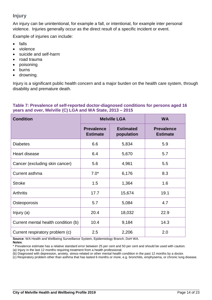# <span id="page-13-0"></span>**Injury**

An injury can be unintentional, for example a fall, or intentional, for example inter personal violence. Injuries generally occur as the direct result of a specific incident or event.

Example of injuries can include:

- falls
- violence
- suicide and self-harm
- road trauma
- poisoning
- burns
- drowning.

Injury is a significant public health concern and a major burden on the health care system, through disability and premature death.

#### **Table 7: Prevalence of self-reported doctor-diagnosed conditions for persons aged 16 years and over, Melville (C) LGA and WA State, 2013 – 2015**

| <b>Condition</b>                    | <b>Melville LGA</b>                  |                                | <b>WA</b>                            |
|-------------------------------------|--------------------------------------|--------------------------------|--------------------------------------|
|                                     | <b>Prevalence</b><br><b>Estimate</b> | <b>Estimated</b><br>population | <b>Prevalence</b><br><b>Estimate</b> |
| <b>Diabetes</b>                     | 6.6                                  | 5,834                          | 5.9                                  |
| Heart disease                       | 6.4                                  | 5,670                          | 5.7                                  |
| Cancer (excluding skin cancer)      | 5.6                                  | 4,961                          | 5.5                                  |
| Current asthma                      | $7.0*$                               | 6,176                          | 8.3                                  |
| <b>Stroke</b>                       | 1.5                                  | 1,364                          | 1.6                                  |
| <b>Arthritis</b>                    | 17.7                                 | 15,674                         | 19.1                                 |
| Osteoporosis                        | 5.7                                  | 5,084                          | 4.7                                  |
| Injury (a)                          | 20.4                                 | 18,032                         | 22.9                                 |
| Current mental health condition (b) | 10.4                                 | 9,184                          | 14.3                                 |
| Current respiratory problem (c)     | 2.5                                  | 2,206                          | 2.0                                  |

**Source**: WA Health and Wellbeing Surveillance System, Epidemiology Branch, DoH WA. **Notes**:

\* Prevalence estimate has a relative standard error between 25 per cent and 50 per cent and should be used with caution.

(a) Injury in the last 12 months requiring treatment from a health professional.

(b) Diagnosed with depression, anxiety, stress-related or other mental health condition in the past 12 months by a doctor.

(c) Respiratory problem other than asthma that has lasted 6 months or more, e.g. bronchitis, emphysema, or chronic lung disease.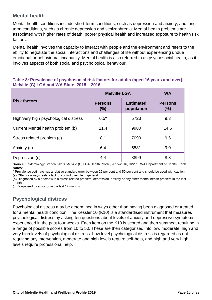# <span id="page-14-0"></span>**Mental health**

Mental health conditions include short-term conditions, such as depression and anxiety, and longterm conditions, such as chronic depression and schizophrenia. Mental health problems are associated with higher rates of death, poorer physical health and increased exposure to health risk factors.

Mental health involves the capacity to interact with people and the environment and refers to the ability to negotiate the social interactions and challenges of life without experiencing undue emotional or behavioural incapacity. Mental health is also referred to as psychosocial health, as it involves aspects of both social and psychological behaviour.

#### **Table 8: Prevalence of psychosocial risk factors for adults (aged 16 years and over), Melville (C) LGA and WA State, 2015 – 2016**

|                                       | <b>Melville LGA</b>   | <b>WA</b>                      |                       |  |
|---------------------------------------|-----------------------|--------------------------------|-----------------------|--|
| <b>Risk factors</b>                   | <b>Persons</b><br>(%) | <b>Estimated</b><br>population | <b>Persons</b><br>(%) |  |
| High/very high psychological distress | $6.5*$                | 5723                           | 9.3                   |  |
| Current Mental health problem (b)     | 11.4                  | 9980                           | 14.6                  |  |
| Stress related problem (c)            | 8.1                   | 7090                           | 9.6                   |  |
| Anxiety (c)                           | 6.4                   | 5581                           | 9.0                   |  |
| Depression (c)                        | 4.4                   | 3899                           | 8.3                   |  |

**Source**: Epidemiology Branch, 2018, Melville (C) LGA Health Profile, 2015-2016, HWSS, WA Department of Health: Perth. **Notes***:*

\* Prevalence estimate has a relative standard error between 25 per cent and 50 per cent and should be used with caution. (a) Often or always feels a lack of control over life in general.

(b) Diagnosed by a doctor with a stress related problem, depression, anxiety or any other mental health problem in the last 12 months.

(c) Diagnosed by a doctor in the last 12 months.

### <span id="page-14-1"></span>**Psychological distress**

Psychological distress may be determined in ways other than having been diagnosed or treated for a mental health condition. The Kessler 10 (K10) is a standardised instrument that measures psychological distress by asking ten questions about levels of anxiety and depressive symptoms experienced in the past four weeks. Each item on the K10 is scored and then summed, resulting in a range of possible scores from 10 to 50. These are then categorised into low, moderate, high and very high levels of psychological distress. Low level psychological distress is regarded as not requiring any intervention, moderate and high levels require self-help, and high and very high levels require professional help.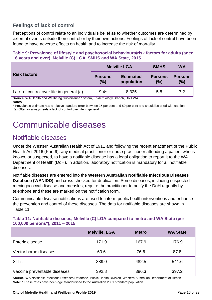# <span id="page-15-0"></span>**Feelings of lack of control**

Perceptions of control relate to an individual's belief as to whether outcomes are determined by external events outside their control or by their own actions. Feelings of lack of control have been found to have adverse effects on health and to increase the risk of mortality.

| <b>SMHS</b><br><b>WA</b><br>Melville I GA                                                 |  |  |  |  |  |  |  |
|-------------------------------------------------------------------------------------------|--|--|--|--|--|--|--|
| 16 years and over), Melville (C) LGA, SMHS and WA State, 2015                             |  |  |  |  |  |  |  |
| Table 5. Frevalence of inestyle and psychosocial behaviours/risk factors for adults (aged |  |  |  |  |  |  |  |

| Table 9: Prevalence of lifestyle and psychosocial behaviours/risk factors for adults (aged |
|--------------------------------------------------------------------------------------------|
| 16 years and over), Melville (C) LGA, SMHS and WA State, 2015                              |

|                                          | <b>Melville LGA</b>   |                                | <b>SMHS</b>           | <b>WA</b>             |
|------------------------------------------|-----------------------|--------------------------------|-----------------------|-----------------------|
| <b>Risk factors</b>                      | <b>Persons</b><br>(%) | <b>Estimated</b><br>population | <b>Persons</b><br>(%) | <b>Persons</b><br>(%) |
| Lack of control over life in general (a) | $9.4*$                | 8,325                          | 5.5                   | 7.2                   |

**Source**: WA Health and Wellbeing Surveillance System, Epidemiology Branch, DoH WA.

**Notes**:

\* Prevalence estimate has a relative standard error between 25 per cent and 50 per cent and should be used with caution. (a) Often or always feels a lack of control over life in general.

# <span id="page-15-1"></span>Communicable diseases

# <span id="page-15-2"></span>Notifiable diseases

Under the Western Australian Health Act of 1911 and following the recent enactment of the Public Health Act 2016 (Part 9), any medical practitioner or nurse practitioner attending a patient who is known, or suspected, to have a notifiable disease has a legal obligation to report it to the WA Department of Health (DoH). In addition, laboratory notification is mandatory for all notifiable diseases.

Notifiable diseases are entered into the **Western Australian Notifiable Infectious Diseases Database (WANIDD)** and cross-checked for duplication. Some diseases, including suspected meningococcal disease and measles, require the practitioner to notify the DoH urgently by telephone and these are marked on the notification form.

Communicable disease notifications are used to inform public health interventions and enhance the prevention and control of these diseases. The data for notifiable diseases are shown in Table 11.

#### **Table 11: Notifiable diseases, Melville (C) LGA compared to metro and WA State (per 100,000 persons\*), 2011 – 2015**

|                              | <b>Melville, LGA</b> | <b>Metro</b> | <b>WA State</b> |
|------------------------------|----------------------|--------------|-----------------|
| Enteric disease              | 171.9                | 167.9        | 176.9           |
| Vector borne diseases        | 60.6                 | 76.6         | 87.8            |
| STI's                        | 389.0                | 482.5        | 541.6           |
| Vaccine preventable diseases | 392.8                | 386.3        | 397.2           |

**Source**: WA Notifiable Infectious Diseases Database, Public Health Division, Western Australian Department of Health. **Note:** \* These rates have been age standardised to the Australian 2001 standard population.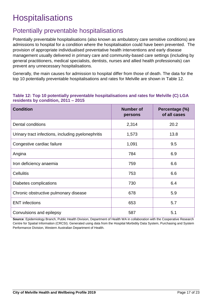# <span id="page-16-0"></span>**Hospitalisations**

# <span id="page-16-1"></span>Potentially preventable hospitalisations

Potentially preventable hospitalisations (also known as ambulatory care sensitive conditions) are admissions to hospital for a condition where the hospitalisation could have been prevented. The provision of appropriate individualised preventative health interventions and early disease management usually delivered in primary care and community-based care settings (including by general practitioners, medical specialists, dentists, nurses and allied health professionals) can prevent any unnecessary hospitalisations.

Generally, the main causes for admission to hospital differ from those of death. The data for the top 10 potentially preventable hospitalisations and rates for Melville are shown in Table 12.

#### **Table 12: Top 10 potentially preventable hospitalisations and rates for Melville (C) LGA residents by condition, 2011 – 2015**

| <b>Condition</b>                                   | <b>Number of</b><br>persons | Percentage (%)<br>of all cases |
|----------------------------------------------------|-----------------------------|--------------------------------|
| Dental conditions                                  | 2,314                       | 20.2                           |
| Urinary tract infections, including pyelonephritis | 1,573                       | 13.8                           |
| Congestive cardiac failure                         | 1,091                       | 9.5                            |
| Angina                                             | 784                         | 6.9                            |
| Iron deficiency anaemia                            | 759                         | 6.6                            |
| <b>Cellulitis</b>                                  | 753                         | 6.6                            |
| Diabetes complications                             | 730                         | 6.4                            |
| Chronic obstructive pulmonary disease              | 678                         | 5.9                            |
| <b>ENT</b> infections                              | 653                         | 5.7                            |
| Convulsions and epilepsy                           | 587                         | 5.1                            |

**Source**: Epidemiology Branch, Public Health Division, Department of Health WA in collaboration with the Cooperative Research Centre for Spatial Information (CRCSI). Generated using data from the Hospital Morbidity Data System, Purchasing and System Performance Division, Western Australian Department of Health.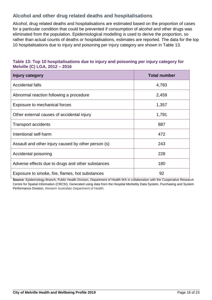# <span id="page-17-0"></span>**Alcohol and other drug related deaths and hospitalisations**

Alcohol, drug related deaths and hospitalisations are estimated based on the proportion of cases for a particular condition that could be prevented if consumption of alcohol and other drugs was eliminated from the population. Epidemiological modelling is used to derive the proportion, so rather than actual counts of deaths or hospitalisations, estimates are reported. The data for the top 10 hospitalisations due to injury and poisoning per injury category are shown in Table 13.

### **Table 13: Top 10 hospitalisations due to injury and poisoning per injury category for Melville (C) LGA, 2012 – 2016**

| Injury category                                     | <b>Total number</b> |
|-----------------------------------------------------|---------------------|
| Accidental falls                                    | 4,783               |
| Abnormal reaction following a procedure             | 2,459               |
| Exposure to mechanical forces                       | 1,357               |
| Other external causes of accidental injury          | 1,791               |
| <b>Transport accidents</b>                          | 887                 |
| Intentional self-harm                               | 472                 |
| Assault and other injury caused by other person (s) | 243                 |
| Accidental poisoning                                | 228                 |
| Adverse effects due to drugs and other substances   | 180                 |
| Exposure to smoke, fire, flames, hot substances     | 92                  |

**Source:** Epidemiology Branch, Public Health Division, Department of Health WA in collaboration with the Cooperative Research Centre for Spatial Information (CRCSI). Generated using data from the Hospital Morbidity Data System, Purchasing and System Performance Division, Western Australian Department of Health.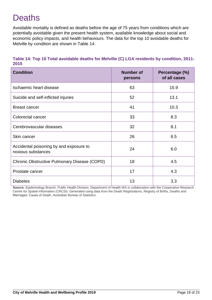# <span id="page-18-0"></span>**Deaths**

Avoidable mortality is defined as deaths before the age of 75 years from conditions which are potentially avoidable given the present health system, available knowledge about social and economic policy impacts, and health behaviours. The data for the top 10 avoidable deaths for Melville by condition are shown in Table 14.

| Table 14: Top 10 Total avoidable deaths for Melville (C) LGA residents by condition, 2011- |  |
|--------------------------------------------------------------------------------------------|--|
| 2015                                                                                       |  |

| <b>Condition</b>                                              | <b>Number of</b><br>persons | Percentage (%)<br>of all cases |
|---------------------------------------------------------------|-----------------------------|--------------------------------|
| Ischaemic heart disease                                       | 63                          | 15.9                           |
| Suicide and self-inflicted injuries                           | 52                          | 13.1                           |
| <b>Breast cancer</b>                                          | 41                          | 10.3                           |
| Colorectal cancer                                             | 33                          | 8.3                            |
| Cerebrovascular diseases                                      | 32                          | 8.1                            |
| Skin cancer                                                   | 26                          | 6.5                            |
| Accidental poisoning by and exposure to<br>noxious substances | 24                          | 6.0                            |
| Chronic Obstructive Pulmonary Disease (COPD)                  | 18                          | 4.5                            |
| Prostate cancer                                               | 17                          | 4.3                            |
| <b>Diabetes</b>                                               | 13                          | 3.3                            |

**Source**: Epidemiology Branch, Public Health Division, Department of Health WA in collaboration with the Cooperative Research Centre for Spatial Information (CRCSI). Generated using data from the Death Registrations, Registry of Births, Deaths and Marriages; Cause of Death, Australian Bureau of Statistics.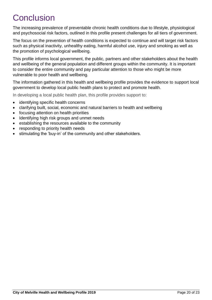# <span id="page-19-0"></span>**Conclusion**

The increasing prevalence of preventable chronic health conditions due to lifestyle, physiological and psychosocial risk factors, outlined in this profile present challenges for all tiers of government.

The focus on the prevention of health conditions is expected to continue and will target risk factors such as physical inactivity, unhealthy eating, harmful alcohol use, injury and smoking as well as the promotion of psychological wellbeing.

This profile informs local government, the public, partners and other stakeholders about the health and wellbeing of the general population and different groups within the community. It is important to consider the entire community and pay particular attention to those who might be more vulnerable to poor health and wellbeing.

The information gathered in this health and wellbeing profile provides the evidence to support local government to develop local public health plans to protect and promote health.

In developing a local public health plan, this profile provides support to:

- identifying specific health concerns
- clarifying built, social, economic and natural barriers to health and wellbeing
- focusing attention on health priorities
- Identifying high risk groups and unmet needs
- establishing the resources available to the community
- responding to priority health needs
- stimulating the 'buy-in' of the community and other stakeholders.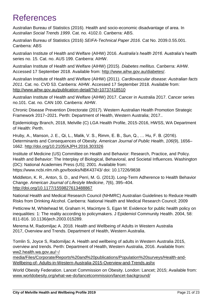# <span id="page-20-0"></span>References

Australian Bureau of Statistics (2016). Health and socio-economic disadvantage of area. In *[Australian Social Trends 1999](http://www.ausstats.abs.gov.au/Ausstats/subscriber.nsf/0/CA25687100069892CA25688800285CA6/$File/41020_1999.pdf)*. Cat. no. 4102.0. Canberra: ABS.

Australian Bureau of Statistics (2016) *SEIFA-Technical Paper 2016.* Cat No. 2039.0.55.001. Canberra: ABS

Australian Institute of Health and Welfare (AIHW) 2016. *Australia's health 2016*. Australia's health series no. 15. Cat. no. AUS 199. Canberra: AIHW.

Australian Institute of Health and Welfare (AIHW) (2015). *Diabetes mellitus*. Canberra: AIHW. Accessed 17 September 2018. Available from: [http://www.aihw.gov.au/diabetes/.](http://www.aihw.gov.au/diabetes/)

Australian Institute of Health and Welfare (AIHW) (2011). *Cardiovascular disease: Australian facts 2011*. Cat. no. CVD 53. Canberra: AIHW. Accessed 17 September 2018. Available from: <http://www.aihw.gov.au/publication-detail/?id=10737418510>

Australian Institute of Health and Welfare (AIHW) 2017. Cancer in Australia 2017. Cancer series no.101. Cat. no. CAN 100. Canberra: AIHW.

Chronic Disease Prevention Directorate (2017). Western Australian Health Promotion Strategic Framework 2017–2021. Perth: Department of Health, Western Australia; 2017..

Epidemiology Branch, 2018, Melville (C) LGA Health Profile, 2015-2016, HWSS, WA Department of Health: Perth.

Hruby, A., Manson, J. E., Qi, L., Malik, V. S., Rimm, E. B., Sun, Q., … Hu, F. B. (2016). Determinants and Consequences of Obesity. *American Journal of Public Health*, *106*(9), 1656– 1662.<http://doi.org/10.2105/AJPH.2016.303326>

Institute of Medicine (US) Committee on Health and Behavior: Research, Practice, and Policy. Health and Behavior: The Interplay of Biological, Behavioral, and Societal Influences. Washington (DC): National Academies Press (US); 2001. Available from: https://www.ncbi.nlm.nih.gov/books/NBK43743/ doi: 10.17226/9838

Middleton, K. R., Anton, S. D., and Perri, M. G. (2013). Long-Term Adherence to Health Behavior Change. *American Journal of Lifestyle Medicine*, *7*(6), 395–404. <http://doi.org/10.1177/1559827613488867>

National Health and Medical Research Council (NHMRC) Australian Guidelines to Reduce Health Risks from Drinking Alcohol. Canberra: National Health and Medical Research Council; 2009

Petticrew M, Whitehead M, Graham H, Macintyre S, Egan M: Evidence for public health policy on inequalities: 1: The reality according to policymakers. J Epidemiol Community Health. 2004, 58: 811-816. 10.1136/jech.2003.015289.

Merema M, Radomiljac A. 2018. Health and Wellbeing of Adults in Western Australia 2017, Overview and Trends. Department of Health, Western Australia.

Tomlin S, Joyce S, Radomiljac A. Health and wellbeing of adults in Western Australia 2015, overview and trends. Perth: Department of Health, Western Australia, 2016. Available from: ww2.health.wa.gov.au/~/

media/Files/Corporate/Reports%20and%20publications/Population%20surveys/Health-and-Wellbeing-of- Adults-in-Western-Australia-2015-Overview-and-Trends.ashx

World Obesity Federation. Lancet Commission on Obesity. London: Lancet; 2015; Available from: [www.worldobesity.org/what-we-do/lancetcommission/lancet-background/](http://www.worldobesity.org/what-we-do/lancetcommission/lancet-background/)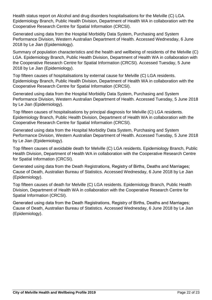Health status report on Alcohol and drug disorders hospitalisations for the Melville (C) LGA. Epidemiology Branch, Public Health Division, Department of Health WA in collaboration with the Cooperative Research Centre for Spatial Information (CRCSI).

Generated using data from the Hospital Morbidity Data System, Purchasing and System Performance Division, Western Australian Department of Health. Accessed Wednesday, 6 June 2018 by Le Jian (Epidemiology).

Summary of population characteristics and the health and wellbeing of residents of the Melville (C) LGA. Epidemiology Branch, Public Health Division, Department of Health WA in collaboration with the Cooperative Research Centre for Spatial Information (CRCSI). Accessed Tuesday, 5 June 2018 by Le Jian (Epidemiology).

Top fifteen causes of hospitalisations by external cause for Melville (C) LGA residents. Epidemiology Branch, Public Health Division, Department of Health WA in collaboration with the Cooperative Research Centre for Spatial Information (CRCSI).

Generated using data from the Hospital Morbidity Data System, Purchasing and System Performance Division, Western Australian Department of Health. Accessed Tuesday, 5 June 2018 by Le Jian (Epidemiology).

Top fifteen causes of hospitalisations by principal diagnosis for Melville (C) LGA residents. Epidemiology Branch, Public Health Division, Department of Health WA in collaboration with the Cooperative Research Centre for Spatial Information (CRCSI).

Generated using data from the Hospital Morbidity Data System, Purchasing and System Performance Division, Western Australian Department of Health. Accessed Tuesday, 5 June 2018 by Le Jian (Epidemiology).

Top fifteen causes of avoidable death for Melville (C) LGA residents. Epidemiology Branch, Public Health Division, Department of Health WA in collaboration with the Cooperative Research Centre for Spatial Information (CRCSI).

Generated using data from the Death Registrations, Registry of Births, Deaths and Marriages; Cause of Death, Australian Bureau of Statistics. Accessed Wednesday, 6 June 2018 by Le Jian (Epidemiology).

Top fifteen causes of death for Melville (C) LGA residents. Epidemiology Branch, Public Health Division, Department of Health WA in collaboration with the Cooperative Research Centre for Spatial Information (CRCSI).

Generated using data from the Death Registrations, Registry of Births, Deaths and Marriages; Cause of Death, Australian Bureau of Statistics. Accessed Wednesday, 6 June 2018 by Le Jian (Epidemiology).